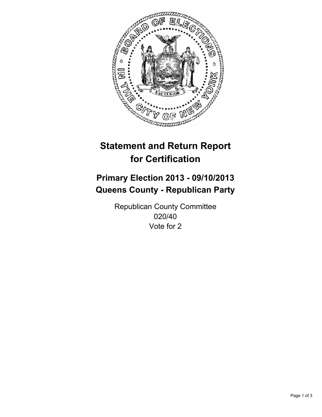

# **Statement and Return Report for Certification**

## **Primary Election 2013 - 09/10/2013 Queens County - Republican Party**

Republican County Committee 020/40 Vote for 2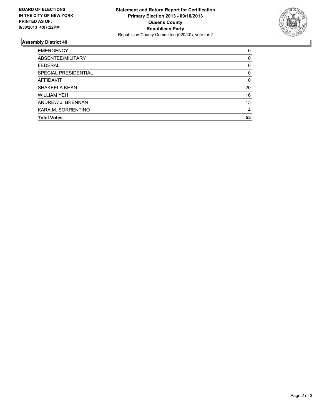

### **Assembly District 40**

| <b>EMERGENCY</b>     | 0        |
|----------------------|----------|
| ABSENTEE/MILITARY    | $\Omega$ |
| <b>FEDERAL</b>       | 0        |
| SPECIAL PRESIDENTIAL | $\Omega$ |
| <b>AFFIDAVIT</b>     | 0        |
| SHAKEELA KHAN        | 20       |
| WILLIAM YFH          | 16       |
| ANDREW J. BRENNAN    | 13       |
| KARA M. SORRENTINO   | 4        |
| <b>Total Votes</b>   | 53       |